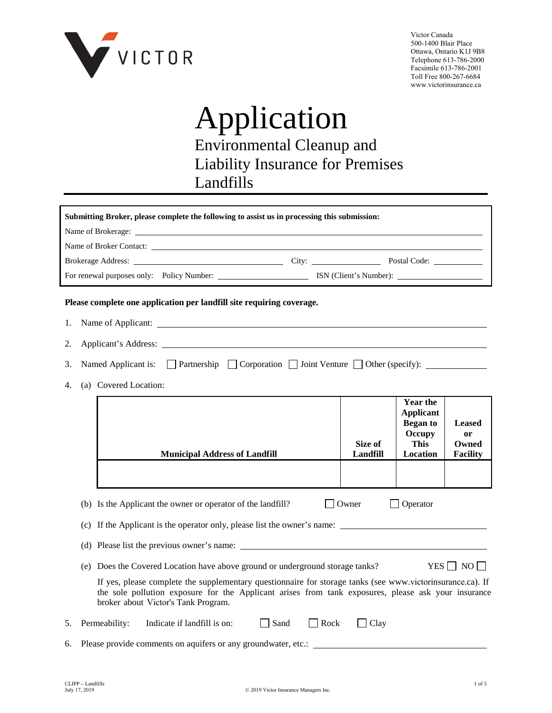

Victor Canada 500-1400 Blair Place Ottawa, Ontario K1J 9B8 Telephone 613-786-2000 Facsimile 613-786-2001 Toll Free 800-267-6684 www.victorinsurance.ca

# Application Environmental Cleanup and Liability Insurance for Premises Landfills

|    | Submitting Broker, please complete the following to assist us in processing this submission:                                                                                                                                                             |                     |                                                                                             |                                                 |
|----|----------------------------------------------------------------------------------------------------------------------------------------------------------------------------------------------------------------------------------------------------------|---------------------|---------------------------------------------------------------------------------------------|-------------------------------------------------|
|    | Name of Brokerage:                                                                                                                                                                                                                                       |                     |                                                                                             |                                                 |
|    |                                                                                                                                                                                                                                                          |                     |                                                                                             |                                                 |
|    |                                                                                                                                                                                                                                                          |                     |                                                                                             |                                                 |
|    |                                                                                                                                                                                                                                                          |                     |                                                                                             |                                                 |
|    | Please complete one application per landfill site requiring coverage.                                                                                                                                                                                    |                     |                                                                                             |                                                 |
| 1. |                                                                                                                                                                                                                                                          |                     |                                                                                             |                                                 |
| 2. |                                                                                                                                                                                                                                                          |                     |                                                                                             |                                                 |
| 3. | Named Applicant is: $\Box$ Partnership $\Box$ Corporation $\Box$ Joint Venture $\Box$ Other (specify):                                                                                                                                                   |                     |                                                                                             |                                                 |
| 4. | (a) Covered Location:                                                                                                                                                                                                                                    |                     |                                                                                             |                                                 |
|    | <b>Municipal Address of Landfill</b>                                                                                                                                                                                                                     | Size of<br>Landfill | <b>Year the</b><br><b>Applicant</b><br><b>Began</b> to<br>Occupy<br><b>This</b><br>Location | <b>Leased</b><br>or<br>Owned<br><b>Facility</b> |
|    |                                                                                                                                                                                                                                                          |                     |                                                                                             |                                                 |
|    | (b) Is the Applicant the owner or operator of the landfill?<br>(c) If the Applicant is the operator only, please list the owner's name:                                                                                                                  | Owner               | Operator                                                                                    |                                                 |
|    | (d) Please list the previous owner's name:                                                                                                                                                                                                               |                     |                                                                                             |                                                 |
|    | (e) Does the Covered Location have above ground or underground storage tanks?                                                                                                                                                                            |                     |                                                                                             | YES     NO                                      |
|    | If yes, please complete the supplementary questionnaire for storage tanks (see www.victorinsurance.ca). If<br>the sole pollution exposure for the Applicant arises from tank exposures, please ask your insurance<br>broker about Victor's Tank Program. |                     |                                                                                             |                                                 |
| 5. | Permeability:<br>Indicate if landfill is on:<br>$\Box$<br>Sand<br>$\Box$ Rock                                                                                                                                                                            | $\Box$ Clay         |                                                                                             |                                                 |
| 6. | Please provide comments on aquifers or any groundwater, etc.:                                                                                                                                                                                            |                     |                                                                                             |                                                 |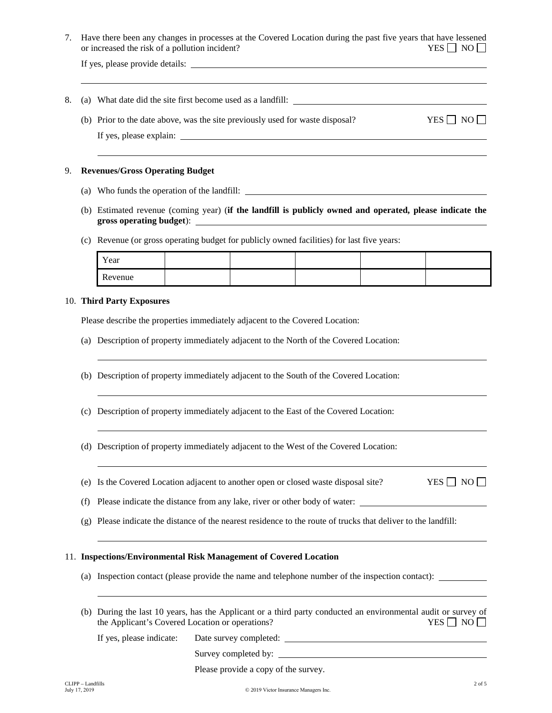7. Have there been any changes in processes at the Covered Location during the past five years that have lessened or increased the risk of a pollution incident?  $YES \Box NO \Box$ 

If yes, please provide details:

- 8. (a) What date did the site first become used as a landfill:
	- (b) Prior to the date above, was the site previously used for waste disposal? YES  $\Box$  NO  $\Box$ If yes, please explain:

#### 9. **Revenues/Gross Operating Budget**

- (a) Who funds the operation of the landfill:
- (b) Estimated revenue (coming year) (**if the landfill is publicly owned and operated, please indicate the gross operating budget**):
- (c) Revenue (or gross operating budget for publicly owned facilities) for last five years:

| Year    |  |  |  |
|---------|--|--|--|
| Revenue |  |  |  |

#### 10. **Third Party Exposures**

Please describe the properties immediately adjacent to the Covered Location:

- (a) Description of property immediately adjacent to the North of the Covered Location:
- (b) Description of property immediately adjacent to the South of the Covered Location:
- (c) Description of property immediately adjacent to the East of the Covered Location:
- (d) Description of property immediately adjacent to the West of the Covered Location:
- (e) Is the Covered Location adjacent to another open or closed waste disposal site? YES  $\Box$  NO  $\Box$

(f) Please indicate the distance from any lake, river or other body of water:

(g) Please indicate the distance of the nearest residence to the route of trucks that deliver to the landfill:

### 11. **Inspections/Environmental Risk Management of Covered Location**

- (a) Inspection contact (please provide the name and telephone number of the inspection contact):
- (b) During the last 10 years, has the Applicant or a third party conducted an environmental audit or survey of the Applicant's Covered Location or operations? YES  $\Box$  NO

If yes, please indicate: Date survey completed:

Survey completed by:

Please provide a copy of the survey.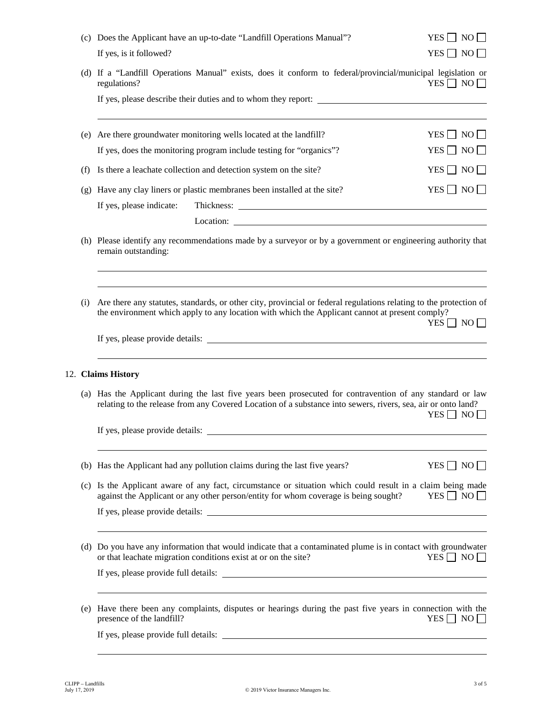|     | (c) Does the Applicant have an up-to-date "Landfill Operations Manual"?<br>If yes, is it followed?                                                                                                                        | $YES \Box NO \Box$<br>$YES \Box NO \Box$ |  |
|-----|---------------------------------------------------------------------------------------------------------------------------------------------------------------------------------------------------------------------------|------------------------------------------|--|
|     | (d) If a "Landfill Operations Manual" exists, does it conform to federal/provincial/municipal legislation or<br>regulations?                                                                                              | $YES \Box NO \Box$                       |  |
|     | If yes, please describe their duties and to whom they report:                                                                                                                                                             |                                          |  |
|     | (e) Are there groundwater monitoring wells located at the landfill?                                                                                                                                                       | YES $\Box$ NO $\Box$                     |  |
|     | If yes, does the monitoring program include testing for "organics"?                                                                                                                                                       | YES $\Box$ NO $\Box$                     |  |
| (f) | Is there a leachate collection and detection system on the site?                                                                                                                                                          | $YES \Box NO \Box$                       |  |
|     | (g) Have any clay liners or plastic membranes been installed at the site?                                                                                                                                                 | $YES \Box NO \Box$                       |  |
|     | If yes, please indicate:                                                                                                                                                                                                  |                                          |  |
|     |                                                                                                                                                                                                                           |                                          |  |
|     | (h) Please identify any recommendations made by a surveyor or by a government or engineering authority that<br>remain outstanding:                                                                                        |                                          |  |
| (i) | Are there any statutes, standards, or other city, provincial or federal regulations relating to the protection of<br>the environment which apply to any location with which the Applicant cannot at present comply?       | $YES \Box NO \Box$                       |  |
|     |                                                                                                                                                                                                                           |                                          |  |
|     | 12. Claims History                                                                                                                                                                                                        |                                          |  |
|     | (a) Has the Applicant during the last five years been prosecuted for contravention of any standard or law<br>relating to the release from any Covered Location of a substance into sewers, rivers, sea, air or onto land? |                                          |  |
|     | If yes, please provide details:                                                                                                                                                                                           | $YES \Box NO \Box$                       |  |
|     |                                                                                                                                                                                                                           |                                          |  |
|     | (b) Has the Applicant had any pollution claims during the last five years?                                                                                                                                                | YES $\Box$ NO $\Box$                     |  |
| (c) | Is the Applicant aware of any fact, circumstance or situation which could result in a claim being made<br>against the Applicant or any other person/entity for whom coverage is being sought?                             | $YES \Box NO \Box$                       |  |
|     | If yes, please provide details:                                                                                                                                                                                           |                                          |  |
| (d) | Do you have any information that would indicate that a contaminated plume is in contact with groundwater<br>or that leachate migration conditions exist at or on the site?                                                | $YES \Box NO \Box$                       |  |
|     |                                                                                                                                                                                                                           |                                          |  |
| (e) | Have there been any complaints, disputes or hearings during the past five years in connection with the<br>presence of the landfill?                                                                                       | $YES \Box NO \Box$                       |  |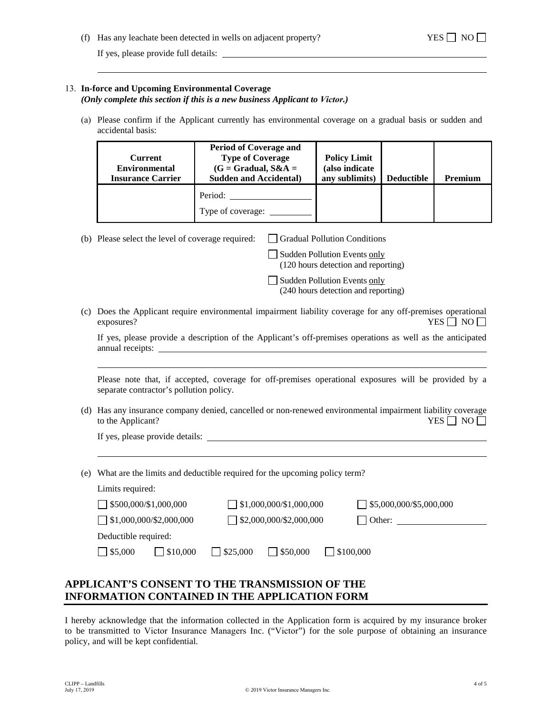(f) Has any leachate been detected in wells on adjacent property? YES  $\Box$  NO  $\Box$ 

## 13. **In-force and Upcoming Environmental Coverage**

*(Only complete this section if this is a new business Applicant to Victor.)*

(a) Please confirm if the Applicant currently has environmental coverage on a gradual basis or sudden and accidental basis:

| Current<br><b>Environmental</b><br><b>Insurance Carrier</b> | <b>Period of Coverage and</b><br><b>Type of Coverage</b><br>$(G = Gradual, S&A =$<br><b>Sudden and Accidental</b> ) | <b>Policy Limit</b><br>(also indicate<br>any sublimits) | <b>Deductible</b> | Premium |
|-------------------------------------------------------------|---------------------------------------------------------------------------------------------------------------------|---------------------------------------------------------|-------------------|---------|
|                                                             | Period:<br>Type of coverage:                                                                                        |                                                         |                   |         |

(b) Please select the level of coverage required:  $\Box$  Gradual Pollution Conditions

 $\Box$  Sudden Pollution Events only (120 hours detection and reporting)

Sudden Pollution Events only (240 hours detection and reporting)

(c) Does the Applicant require environmental impairment liability coverage for any off-premises operational exposures?  $YES \Box NO \Box$ 

|                  |  |  | If yes, please provide a description of the Applicant's off-premises operations as well as the anticipated |  |  |
|------------------|--|--|------------------------------------------------------------------------------------------------------------|--|--|
| annual receipts: |  |  |                                                                                                            |  |  |

Please note that, if accepted, coverage for off-premises operational exposures will be provided by a separate contractor's pollution policy.

(d) Has any insurance company denied, cancelled or non-renewed environmental impairment liability coverage to the Applicant? YES  $\Box$  NO  $\Box$ 

If yes, please provide details:

(e) What are the limits and deductible required for the upcoming policy term?

| Limits required:               |                                       |                                |
|--------------------------------|---------------------------------------|--------------------------------|
| $\Box$ \$500,000/\$1,000,000   | $\Box$ \$1,000,000/\$1,000,000        | $\Box$ \$5,000,000/\$5,000,000 |
| $\Box$ \$1,000,000/\$2,000,000 | $\Box$ \$2,000,000/\$2,000,000        | Other:                         |
| Deductible required:           |                                       |                                |
| $\Box$ \$5,000<br>1\$10,000    | $\Box$ \$50,000<br>$\frac{$25,000}{}$ | $\Box$ \$100,000               |

# **APPLICANT'S CONSENT TO THE TRANSMISSION OF THE INFORMATION CONTAINED IN THE APPLICATION FORM**

I hereby acknowledge that the information collected in the Application form is acquired by my insurance broker to be transmitted to Victor Insurance Managers Inc. ("Victor") for the sole purpose of obtaining an insurance policy, and will be kept confidential.